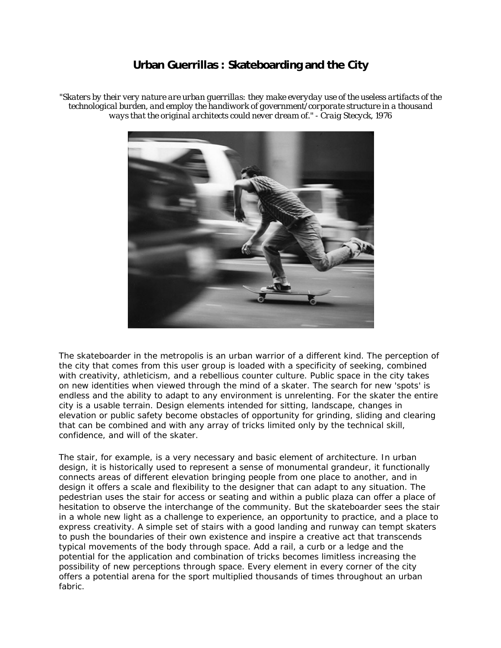## **Urban Guerrillas : Skateboarding and the City**

*"Skaters by their very nature are urban guerrillas: they make everyday use of the useless artifacts of the technological burden, and employ the handiwork of government/corporate structure in a thousand ways that the original architects could never dream of." - Craig Stecyck, 1976*



The skateboarder in the metropolis is an urban warrior of a different kind. The perception of the city that comes from this user group is loaded with a specificity of seeking, combined with creativity, athleticism, and a rebellious counter culture. Public space in the city takes on new identities when viewed through the mind of a skater. The search for new 'spots' is endless and the ability to adapt to any environment is unrelenting. For the skater the entire city is a usable terrain. Design elements intended for sitting, landscape, changes in elevation or public safety become obstacles of opportunity for grinding, sliding and clearing that can be combined and with any array of tricks limited only by the technical skill, confidence, and will of the skater.

The stair, for example, is a very necessary and basic element of architecture. In urban design, it is historically used to represent a sense of monumental grandeur, it functionally connects areas of different elevation bringing people from one place to another, and in design it offers a scale and flexibility to the designer that can adapt to any situation. The pedestrian uses the stair for access or seating and within a public plaza can offer a place of hesitation to observe the interchange of the community. But the skateboarder sees the stair in a whole new light as a challenge to experience, an opportunity to practice, and a place to express creativity. A simple set of stairs with a good landing and runway can tempt skaters to push the boundaries of their own existence and inspire a creative act that transcends typical movements of the body through space. Add a rail, a curb or a ledge and the potential for the application and combination of tricks becomes limitless increasing the possibility of new perceptions through space. Every element in every corner of the city offers a potential arena for the sport multiplied thousands of times throughout an urban fabric.